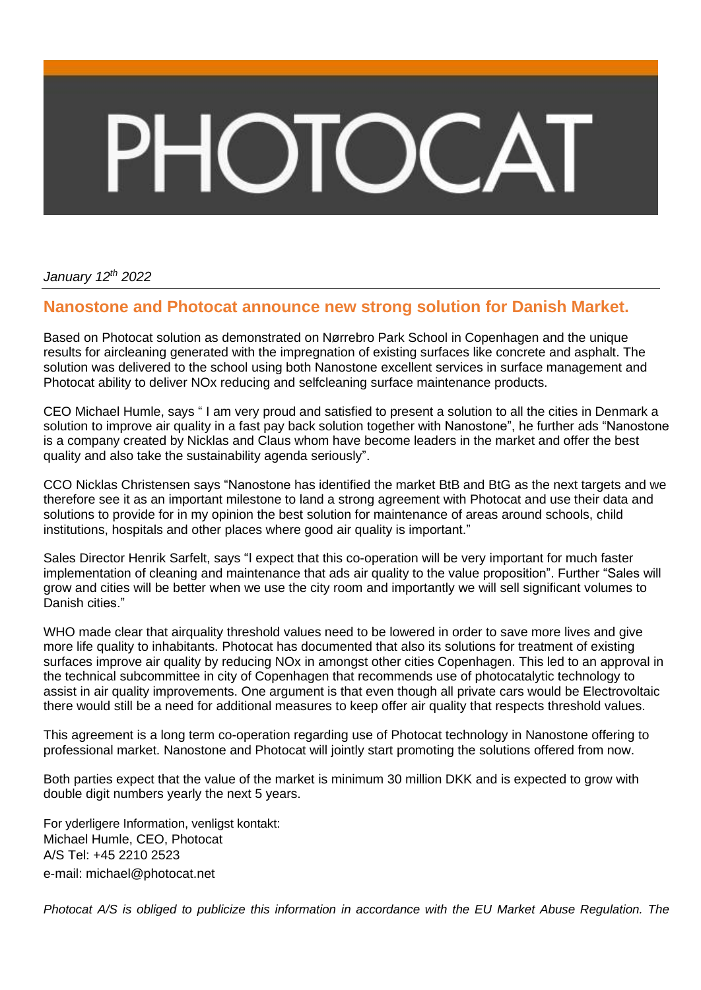## $\Box$

*January 12 th 2022*

## **Nanostone and Photocat announce new strong solution for Danish Market.**

Based on Photocat solution as demonstrated on Nørrebro Park School in Copenhagen and the unique results for aircleaning generated with the impregnation of existing surfaces like concrete and asphalt. The solution was delivered to the school using both Nanostone excellent services in surface management and Photocat ability to deliver NOx reducing and selfcleaning surface maintenance products.

CEO Michael Humle, says " I am very proud and satisfied to present a solution to all the cities in Denmark a solution to improve air quality in a fast pay back solution together with Nanostone", he further ads "Nanostone is a company created by Nicklas and Claus whom have become leaders in the market and offer the best quality and also take the sustainability agenda seriously".

CCO Nicklas Christensen says "Nanostone has identified the market BtB and BtG as the next targets and we therefore see it as an important milestone to land a strong agreement with Photocat and use their data and solutions to provide for in my opinion the best solution for maintenance of areas around schools, child institutions, hospitals and other places where good air quality is important."

Sales Director Henrik Sarfelt, says "I expect that this co-operation will be very important for much faster implementation of cleaning and maintenance that ads air quality to the value proposition". Further "Sales will grow and cities will be better when we use the city room and importantly we will sell significant volumes to Danish cities."

WHO made clear that airquality threshold values need to be lowered in order to save more lives and give more life quality to inhabitants. Photocat has documented that also its solutions for treatment of existing surfaces improve air quality by reducing NOx in amongst other cities Copenhagen. This led to an approval in the technical subcommittee in city of Copenhagen that recommends use of photocatalytic technology to assist in air quality improvements. One argument is that even though all private cars would be Electrovoltaic there would still be a need for additional measures to keep offer air quality that respects threshold values.

This agreement is a long term co-operation regarding use of Photocat technology in Nanostone offering to professional market. Nanostone and Photocat will jointly start promoting the solutions offered from now.

Both parties expect that the value of the market is minimum 30 million DKK and is expected to grow with double digit numbers yearly the next 5 years.

For yderligere Information, venligst kontakt: Michael Humle, CEO, Photocat A/S Tel: +45 2210 2523 e-mail: [michael@photocat.net](mailto:michael@photocat.net)

Photocat A/S is obliged to publicize this information in accordance with the EU Market Abuse Regulation. The